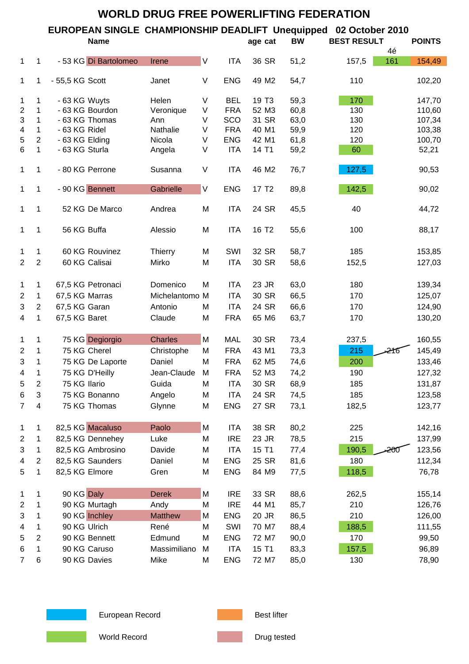| <b>WORLD DRUG FREE POWERLIFTING FEDERATION</b> |                |                       |                |         |                                                                  |                   |           |                    |     |               |
|------------------------------------------------|----------------|-----------------------|----------------|---------|------------------------------------------------------------------|-------------------|-----------|--------------------|-----|---------------|
|                                                |                |                       |                |         | EUROPEAN SINGLE CHAMPIONSHIP DEADLIFT Unequipped 02 October 2010 |                   |           |                    |     |               |
|                                                |                | <b>Name</b>           |                |         |                                                                  | age cat           | <b>BW</b> | <b>BEST RESULT</b> |     | <b>POINTS</b> |
|                                                |                |                       |                |         |                                                                  |                   |           |                    | 4é  |               |
| $\mathbf{1}$                                   | 1              | - 53 KG Di Bartolomeo | Irene          | $\sf V$ | <b>ITA</b>                                                       | 36 SR             | 51,2      | 157,5              | 161 | 154,49        |
| 1                                              | 1              | - 55,5 KG Scott       | Janet          | V       | <b>ENG</b>                                                       | 49 M2             | 54,7      | 110                |     | 102,20        |
| 1                                              | 1              | - 63 KG Wuyts         | Helen          | V       | <b>BEL</b>                                                       | 19 T <sub>3</sub> | 59,3      | 170                |     | 147,70        |
| $\overline{c}$                                 | 1              | - 63 KG Bourdon       | Veronique      | V       | <b>FRA</b>                                                       | 52 M3             | 60,8      | 130                |     | 110,60        |
| $\ensuremath{\mathsf{3}}$                      | 1              | - 63 KG Thomas        | Ann            | V       | SCO                                                              | 31 SR             | 63,0      | 130                |     | 107,34        |
| 4                                              | 1              | - 63 KG Ridel         | Nathalie       | V       | <b>FRA</b>                                                       | 40 M1             | 59,9      | 120                |     | 103,38        |
| 5                                              | $\overline{2}$ | - 63 KG Elding        | Nicola         | V       | <b>ENG</b>                                                       | 42 M1             | 61,8      | 120                |     | 100,70        |
| 6                                              | $\mathbf{1}$   | - 63 KG Sturla        | Angela         | V       | <b>ITA</b>                                                       | 14 T1             | 59,2      | 60                 |     | 52,21         |
| $\mathbf{1}$                                   | 1              | - 80 KG Perrone       | Susanna        | V       | <b>ITA</b>                                                       | 46 M2             | 76,7      | 127,5              |     | 90,53         |
| 1                                              | 1              | - 90 KG Bennett       | Gabrielle      | $\vee$  | <b>ENG</b>                                                       | 17 T <sub>2</sub> | 89,8      | 142,5              |     | 90,02         |
|                                                |                |                       |                |         |                                                                  |                   |           |                    |     |               |
| 1                                              | 1              | 52 KG De Marco        | Andrea         | M       | <b>ITA</b>                                                       | 24 SR             | 45,5      | 40                 |     | 44,72         |
| 1                                              | 1              | 56 KG Buffa           | Alessio        | M       | <b>ITA</b>                                                       | 16 T <sub>2</sub> | 55,6      | 100                |     | 88,17         |
| 1                                              | 1              | 60 KG Rouvinez        | <b>Thierry</b> | M       | SWI                                                              | 32 SR             | 58,7      | 185                |     | 153,85        |
| $\overline{2}$                                 | $\overline{2}$ | 60 KG Calisai         | Mirko          | M       | <b>ITA</b>                                                       | 30 SR             | 58,6      | 152,5              |     | 127,03        |
|                                                |                |                       |                |         |                                                                  |                   |           |                    |     |               |
| $\mathbf{1}$                                   | 1              | 67,5 KG Petronaci     | Domenico       | M       | <b>ITA</b>                                                       | 23 JR             | 63,0      | 180                |     | 139,34        |
| $\overline{2}$                                 | 1              | 67,5 KG Marras        | Michelantomo M |         | <b>ITA</b>                                                       | 30 SR             | 66,5      | 170                |     | 125,07        |
| $\ensuremath{\mathsf{3}}$                      | $\overline{2}$ | 67,5 KG Garan         | Antonio        | M       | <b>ITA</b>                                                       | 24 SR             | 66,6      | 170                |     | 124,90        |
| $\overline{4}$                                 | 1              | 67,5 KG Baret         | Claude         | M       | <b>FRA</b>                                                       | 65 M6             | 63,7      | 170                |     | 130,20        |
|                                                |                |                       |                |         |                                                                  |                   |           |                    |     |               |
| 1                                              | 1              | 75 KG Degiorgio       | <b>Charles</b> | M       | <b>MAL</b>                                                       | 30 SR             | 73,4      | 237,5              |     | 160,55        |
| $\overline{2}$                                 | 1              | 75 KG Cherel          | Christophe     | M       | <b>FRA</b>                                                       | 43 M1             | 73,3      | 215                | 216 | 145,49        |
| 3                                              | 1              | 75 KG De Laporte      | Daniel         | M       | <b>FRA</b>                                                       | 62 M <sub>5</sub> | 74,6      | 200                |     | 133,46        |
| 4                                              | 1              | 75 KG D'Heilly        | Jean-Claude    | M       | <b>FRA</b>                                                       | 52 M3             | 74,2      | 190                |     | 127,32        |
|                                                | $\overline{c}$ | 75 KG Ilario          | Guida          | M       | <b>ITA</b>                                                       | 30 SR             | 68,9      | 185                |     | 131,87        |
| 5                                              |                |                       |                |         |                                                                  |                   |           |                    |     |               |
| 6                                              | 3              | 75 KG Bonanno         | Angelo         | M       | <b>ITA</b>                                                       | 24 SR             | 74,5      | 185                |     | 123,58        |
| $\overline{7}$                                 | 4              | 75 KG Thomas          | Glynne         | M       | <b>ENG</b>                                                       | 27 SR             | 73,1      | 182,5              |     | 123,77        |
| 1                                              | 1              | 82,5 KG Macaluso      | Paolo          | M       | <b>ITA</b>                                                       | 38 SR             | 80,2      | 225                |     | 142,16        |
| $\overline{2}$                                 | 1              | 82,5 KG Dennehey      | Luke           | M       | <b>IRE</b>                                                       | 23 JR             | 78,5      | 215                |     | 137,99        |
| 3                                              | 1              | 82,5 KG Ambrosino     | Davide         | M       | <b>ITA</b>                                                       | 15 T1             | 77,4      | 190,5              | 200 | 123,56        |
|                                                |                |                       |                |         |                                                                  |                   |           |                    |     |               |
| 4                                              | $\overline{2}$ | 82,5 KG Saunders      | Daniel         | M       | <b>ENG</b>                                                       | 25 SR             | 81,6      | 180                |     | 112,34        |
| 5                                              | 1              | 82,5 KG Elmore        | Gren           | M       | <b>ENG</b>                                                       | 84 M9             | 77,5      | 118,5              |     | 76,78         |
| 1                                              | 1              | 90 KG Daly            | <b>Derek</b>   | M       | <b>IRE</b>                                                       | 33 SR             | 88,6      | 262,5              |     | 155,14        |
| $\overline{2}$                                 | 1              | 90 KG Murtagh         | Andy           | M       | <b>IRE</b>                                                       | 44 M1             | 85,7      | 210                |     | 126,76        |
| 3                                              | 1              | 90 KG Inchley         | <b>Matthew</b> | M       | <b>ENG</b>                                                       | 20 JR             | 86,5      | 210                |     | 126,00        |
| 4                                              | 1              | 90 KG Ulrich          | René           | M       | SWI                                                              | 70 M7             | 88,4      | 188,5              |     | 111,55        |
| 5                                              | $\overline{2}$ | 90 KG Bennett         | Edmund         | M       | <b>ENG</b>                                                       | 72 M7             | 90,0      | 170                |     | 99,50         |
|                                                |                |                       |                |         |                                                                  |                   |           |                    |     |               |
| 6                                              | 1              | 90 KG Caruso          | Massimiliano   | M       | <b>ITA</b>                                                       | 15 T1             | 83,3      | 157,5              |     | 96,89         |
| $\overline{7}$                                 | $\,6$          | 90 KG Davies          | Mike           | M       | <b>ENG</b>                                                       | 72 M7             | 85,0      | 130                |     | 78,90         |